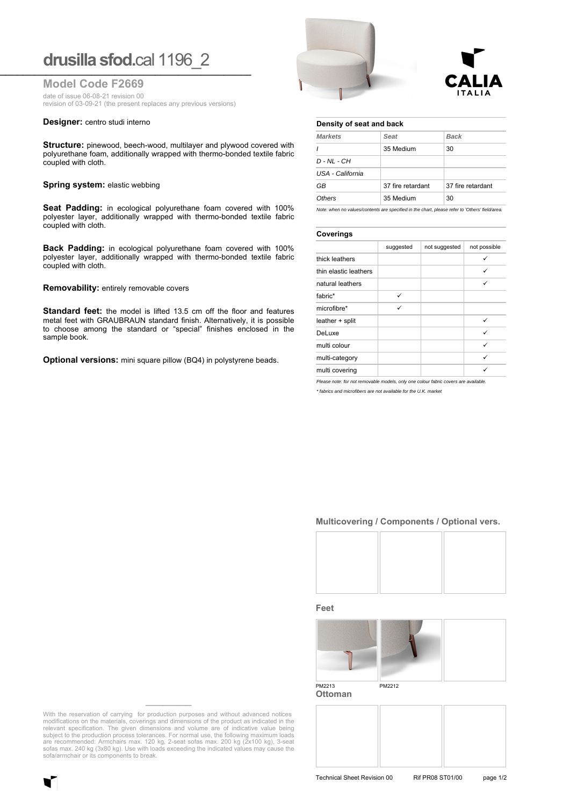# **drusilla sfod.**cal 1196\_2 **\_\_\_\_\_\_\_\_\_\_\_\_\_\_\_\_\_\_\_\_\_\_\_\_\_\_\_\_\_\_\_\_\_\_\_\_\_\_\_\_\_\_\_\_\_\_\_\_\_\_\_\_\_\_\_\_\_\_\_\_\_\_\_\_\_**

**Model Code F2669**

date of issue 06-08-21 revision 00

revision of 03-09-21 (the present replaces any previous versions)

#### **Designer:** centro studi interno

**Structure:** pinewood, beech-wood, multilayer and plywood covered with polyurethane foam, additionally wrapped with thermo-bonded textile fabric coupled with cloth.

#### **Spring system: elastic webbing**

**Seat Padding:** in ecological polyurethane foam covered with 100% polyester layer, additionally wrapped with thermo-bonded textile fabric coupled with cloth.

**Back Padding:** in ecological polyurethane foam covered with 100% polyester layer, additionally wrapped with thermo-bonded textile fabric coupled with cloth.

**Removability:** entirely removable covers

**Standard feet:** the model is lifted 13.5 cm off the floor and features metal feet with GRAUBRAUN standard finish. Alternatively, it is possible to choose among the standard or "special" finishes enclosed in the sample book.

**Optional versions:** mini square pillow (BQ4) in polystyrene beads.





## **Density of seat and back**

| <b>Markets</b>   | Seat              | <b>Back</b>       |  |
|------------------|-------------------|-------------------|--|
|                  | 35 Medium         | 30                |  |
| $D - NL - CH$    |                   |                   |  |
| USA - California |                   |                   |  |
| GB               | 37 fire retardant | 37 fire retardant |  |
| Others           | 35 Medium         | 30                |  |

*Note: when no values/contents are specified in the chart, please refer to 'Others' field/area.*

#### **Coverings**

| -                     |           |               |              |  |
|-----------------------|-----------|---------------|--------------|--|
|                       | suggested | not suggested | not possible |  |
| thick leathers        |           |               | $\checkmark$ |  |
| thin elastic leathers |           |               | ✓            |  |
| natural leathers      |           |               | ✓            |  |
| fabric*               | ✓         |               |              |  |
| microfibre*           | ✓         |               |              |  |
| leather + split       |           |               | ✓            |  |
| DeLuxe                |           |               | ✓            |  |
| multi colour          |           |               | ✓            |  |
| multi-category        |           |               | ✓            |  |
| multi covering        |           |               |              |  |

*Please note: for not removable models, only one colour fabric covers are available.*

*\* fabrics and microfibers are not available for the U.K. market*

## **Multicovering / Components / Optional vers.**



**Feet**



**Ottoman**

With the reservation of carrying for production purposes and without advanced notices modifications on the materials, coverings and dimensions of the product as indicated in the relevant specification. The given dimensions and volume are of indicative value being subject to the production process tolerances. For normal use, the following maximum loads are recommended: Armchairs max. 120 kg, 2-seat sofas max. 200 kg (2x100 kg), 3-seat sofas max. 240 kg (3x80 kg). Use with loads exceeding the indicated values may cause the sofa/armchair or its components to break.